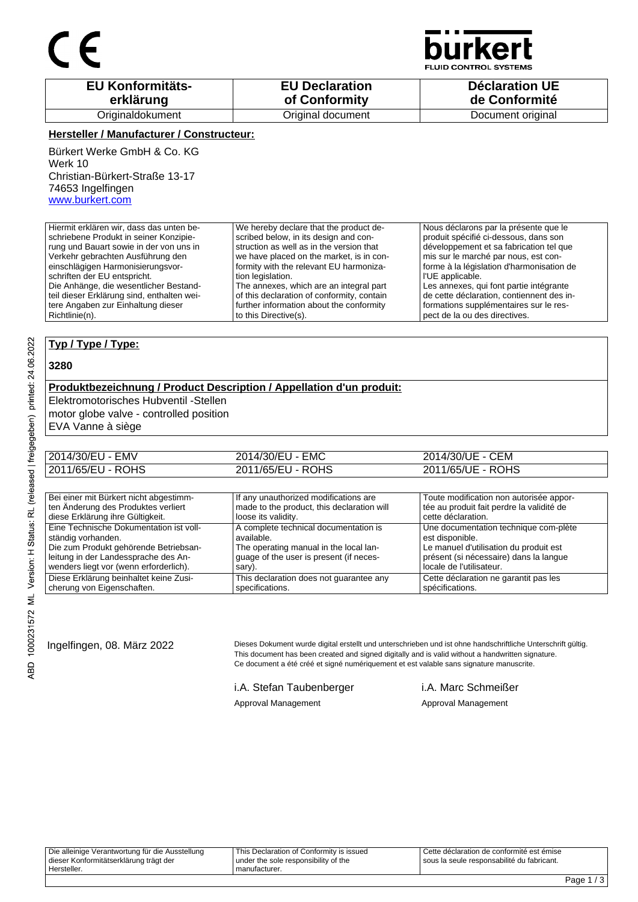

**JID CONTROL SYSTEMS** 

| <b>EU Konformitäts-</b> | <b>EU Declaration</b> | <b>Déclaration UE</b> |
|-------------------------|-----------------------|-----------------------|
| erklärung               | of Conformity         | de Conformité         |
| Originaldokument        | Original document     | Document original     |

### **Hersteller / Manufacturer / Constructeur:**

Bürkert Werke GmbH & Co. KG Werk 10 Christian-Bürkert-Straße 13-17 74653 Ingelfingen www.burkert.com

Hiermit erklären wir, dass das unten beschriebene Produkt in seiner Konzipierung und Bauart sowie in der von uns in Verkehr gebrachten Ausführung den einschlägigen Harmonisierungsvorschriften der EU entspricht. Die Anhänge, die wesentlicher Bestandteil dieser Erklärung sind, enthalten weitere Angaben zur Einhaltung dieser Richtlinie(n). We hereby declare that the product described below, in its design and construction as well as in the version that we have placed on the market, is in conformity with the relevant EU harmonization legislation. The annexes, which are an integral part of this declaration of conformity, contain further information about the conformity to this Directive(s). Nous déclarons par la présente que le produit spécifié ci-dessous, dans son développement et sa fabrication tel que mis sur le marché par nous, est conforme à la législation d'harmonisation de l'UE applicable. Les annexes, qui font partie intégrante de cette déclaration, contiennent des informations supplémentaires sur le respect de la ou des directives.

### **Typ / Type / Type:**

#### **3280**

## **Produktbezeichnung / Product Description / Appellation d'un produit:**

Elektromotorisches Hubventil -Stellen

motor globe valve - controlled position

EVA Vanne à siège

| 2014/30/EU - EMV  | 2014/30/EU - EMC  | 2014/30/UE - CEM  |
|-------------------|-------------------|-------------------|
| 2011/65/EU - ROHS | 2011/65/EU - ROHS | 2011/65/UE - ROHS |

| Bei einer mit Bürkert nicht abgestimm-  | If any unauthorized modifications are      | Toute modification non autorisée appor-   |
|-----------------------------------------|--------------------------------------------|-------------------------------------------|
| ten Änderung des Produktes verliert     | made to the product, this declaration will | tée au produit fait perdre la validité de |
| diese Erklärung ihre Gültigkeit.        | loose its validity.                        | cette déclaration.                        |
| Eine Technische Dokumentation ist voll- | A complete technical documentation is      | Une documentation technique com-plète     |
| ständig vorhanden.                      | available.                                 | est disponible.                           |
| Die zum Produkt gehörende Betriebsan-   | The operating manual in the local lan-     | Le manuel d'utilisation du produit est    |
| leitung in der Landessprache des An-    | guage of the user is present (if neces-    | présent (si nécessaire) dans la langue    |
| wenders liegt vor (wenn erforderlich).  | sary).                                     | locale de l'utilisateur.                  |
| Diese Erklärung beinhaltet keine Zusi-  | This declaration does not guarantee any    | Cette déclaration ne garantit pas les     |
| cherung von Eigenschaften.              | specifications.                            | spécifications.                           |

Ingelfingen, 08. März 2022 Dieses Dokument wurde digital erstellt und unterschrieben und ist ohne handschriftliche Unterschrift gültig. This document has been created and signed digitally and is valid without a handwritten signature. Ce document a été créé et signé numériquement et est valable sans signature manuscrite.

i.A. Stefan Taubenberger i.A. Marc Schmeißer

Approval Management Approval Management

Die alleinige Verantwortung für die Ausstellung dieser Konformitätserklärung trägt der Hersteller. This Declaration of Conformity is issued under the sole responsibility of the manufacturer. Cette déclaration de conformité est émise sous la seule responsabilité du fabricant.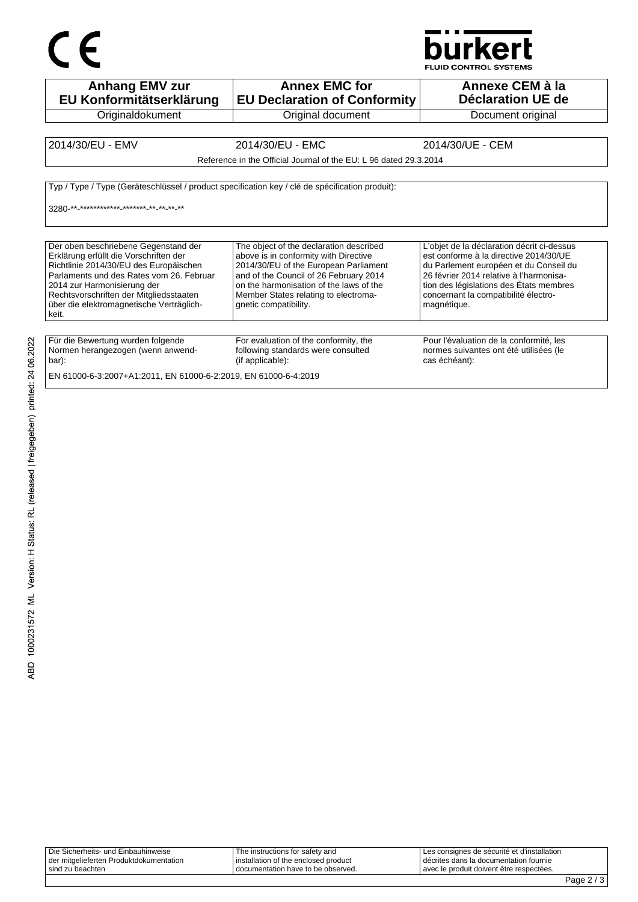

**Anhang EMV zur EU Konformitätserklärung Originaldokument Annex EMC for EU Declaration of Conformity** Original document **Annexe CEM à la Déclaration UE de**  Document original 2014/30/EU - EMV 2014/30/EU - EMC 2014/30/UE - CEM Reference in the Official Journal of the EU: L 96 dated 29.3.2014 Typ / Type / Type (Geräteschlüssel / product specification key / clé de spécification produit): 3280-\*\*-\*\*\*\*\*\*\*\*\*\*\*\* \*\*\*\*\*\*\* \*\* \*\* \*\* \*\* Der oben beschriebene Gegenstand der Erklärung erfüllt die Vorschriften der Richtlinie 2014/30/EU des Europäischen Parlaments und des Rates vom 26. Februar 2014 zur Harmonisierung der Rechtsvorschriften der Mitgliedsstaaten über die elektromagnetische Verträglichkeit. The object of the declaration described above is in conformity with Directive 2014/30/EU of the European Parliament and of the Council of 26 February 2014 on the harmonisation of the laws of the Member States relating to electromagnetic compatibility. L'objet de la déclaration décrit ci-dessus est conforme à la directive 2014/30/UE du Parlement européen et du Conseil du 26 février 2014 relative à l'harmonisation des législations des États membres concernant la compatibilité électromagnétique. Für die Bewertung wurden folgende Normen herangezogen (wenn anwendbar): For evaluation of the conformity, the following standards were consulted (if applicable): Pour l'évaluation de la conformité, les normes suivantes ont été utilisées (le cas échéant): EN 61000-6-3:2007+A1:2011, EN 61000-6-2:2019, EN 61000-6-4:2019

| Die Sicherheits- und Einbauhinweise                         | The instructions for safety and                                                | I Les consignes de sécurité et d'installation                                          |  |
|-------------------------------------------------------------|--------------------------------------------------------------------------------|----------------------------------------------------------------------------------------|--|
| der mitgelieferten Produktdokumentation<br>sind zu beachten | I installation of the enclosed product<br>I documentation have to be observed. | I décrites dans la documentation fournie<br>I avec le produit doivent être respectées. |  |
|                                                             |                                                                                |                                                                                        |  |